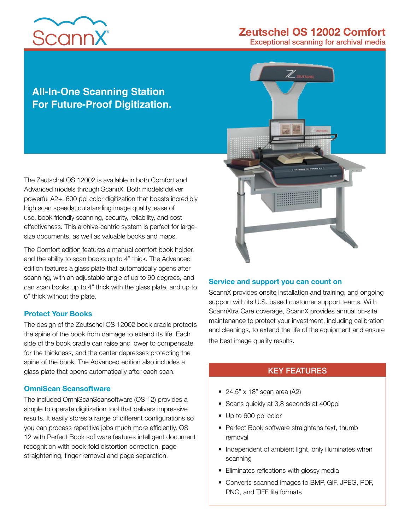# **ScannX**

# **Zeutschel OS 12002 Comfort**

Exceptional scanning for archival media

## **All-In-One Scanning Station For Future-Proof Digitization.**

The Zeutschel OS 12002 is available in both Comfort and Advanced models through ScannX. Both models deliver powerful A2+, 600 ppi color digitization that boasts incredibly high scan speeds, outstanding image quality, ease of use, book friendly scanning, security, reliability, and cost effectiveness. This archive-centric system is perfect for largesize documents, as well as valuable books and maps.

The Comfort edition features a manual comfort book holder, and the ability to scan books up to 4" thick. The Advanced edition features a glass plate that automatically opens after scanning, with an adjustable angle of up to 90 degrees, and can scan books up to 4" thick with the glass plate, and up to 6" thick without the plate.

#### **Protect Your Books**

The design of the Zeutschel OS 12002 book cradle protects the spine of the book from damage to extend its life. Each side of the book cradle can raise and lower to compensate for the thickness, and the center depresses protecting the spine of the book. The Advanced edition also includes a glass plate that opens automatically after each scan.

#### **OmniScan Scansoftware**

The included OmniScanScansoftware (OS 12) provides a simple to operate digitization tool that delivers impressive results. It easily stores a range of different configurations so you can process repetitive jobs much more efficiently. OS 12 with Perfect Book software features intelligent document recognition with book-fold distortion correction, page straightening, finger removal and page separation.



#### **Service and support you can count on**

ScannX provides onsite installation and training, and ongoing support with its U.S. based customer support teams. With ScannXtra Care coverage, ScannX provides annual on-site maintenance to protect your investment, including calibration and cleanings, to extend the life of the equipment and ensure the best image quality results.

#### KEY FEATURES

- 24.5" x 18" scan area (A2)
- Scans quickly at 3.8 seconds at 400ppi
- Up to 600 ppi color
- Perfect Book software straightens text, thumb removal
- Independent of ambient light, only illuminates when scanning
- Eliminates reflections with glossy media
- Converts scanned images to BMP, GIF, JPEG, PDF, PNG, and TIFF file formats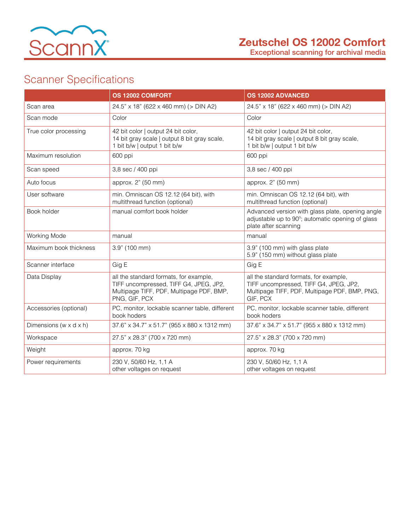

Exceptional scanning for archival media

# Scanner Specifications

|                                      | OS 12002 COMFORT                                                                                                                              | <b>OS 12002 ADVANCED</b>                                                                                                                      |
|--------------------------------------|-----------------------------------------------------------------------------------------------------------------------------------------------|-----------------------------------------------------------------------------------------------------------------------------------------------|
| Scan area                            | 24.5" x 18" (622 x 460 mm) (> DIN A2)                                                                                                         | 24.5" x 18" (622 x 460 mm) (> DIN A2)                                                                                                         |
| Scan mode                            | Color                                                                                                                                         | Color                                                                                                                                         |
| True color processing                | 42 bit color   output 24 bit color,<br>14 bit gray scale   output 8 bit gray scale,<br>1 bit b/w   output 1 bit b/w                           | 42 bit color   output 24 bit color,<br>14 bit gray scale   output 8 bit gray scale,<br>1 bit b/w   output 1 bit b/w                           |
| Maximum resolution                   | 600 ppi                                                                                                                                       | 600 ppi                                                                                                                                       |
| Scan speed                           | 3,8 sec / 400 ppi                                                                                                                             | 3,8 sec / 400 ppi                                                                                                                             |
| Auto focus                           | approx. 2" (50 mm)                                                                                                                            | approx. 2" (50 mm)                                                                                                                            |
| User software                        | min. Omniscan OS 12.12 (64 bit), with<br>multithread function (optional)                                                                      | min. Omniscan OS 12.12 (64 bit), with<br>multithread function (optional)                                                                      |
| Book holder                          | manual comfort book holder                                                                                                                    | Advanced version with glass plate, opening angle<br>adjustable up to 90°; automatic opening of glass<br>plate after scanning                  |
| Working Mode                         | manual                                                                                                                                        | manual                                                                                                                                        |
| Maximum book thickness               | 3.9" (100 mm)                                                                                                                                 | 3.9" (100 mm) with glass plate<br>5.9" (150 mm) without glass plate                                                                           |
| Scanner interface                    | Gig E                                                                                                                                         | Gig E                                                                                                                                         |
| Data Display                         | all the standard formats, for example,<br>TIFF uncompressed, TIFF G4, JPEG, JP2,<br>Multipage TIFF, PDF, Multipage PDF, BMP,<br>PNG, GIF, PCX | all the standard formats, for example,<br>TIFF uncompressed, TIFF G4, JPEG, JP2,<br>Multipage TIFF, PDF, Multipage PDF, BMP, PNG,<br>GIF, PCX |
| Accessories (optional)               | PC, monitor, lockable scanner table, different<br>book hoders                                                                                 | PC, monitor, lockable scanner table, different<br>book hoders                                                                                 |
| Dimensions (w $\times$ d $\times$ h) | 37.6" x 34.7" x 51.7" (955 x 880 x 1312 mm)                                                                                                   | 37.6" x 34.7" x 51.7" (955 x 880 x 1312 mm)                                                                                                   |
| Workspace                            | 27.5" x 28.3" (700 x 720 mm)                                                                                                                  | 27.5" x 28.3" (700 x 720 mm)                                                                                                                  |
| Weight                               | approx. 70 kg                                                                                                                                 | approx. 70 kg                                                                                                                                 |
| Power requirements                   | 230 V, 50/60 Hz, 1,1 A<br>other voltages on request                                                                                           | 230 V, 50/60 Hz, 1,1 A<br>other voltages on request                                                                                           |